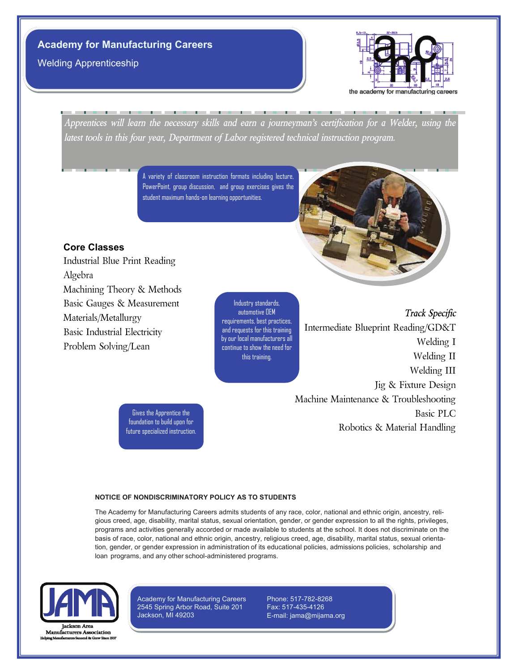Welding Apprenticeship



*Apprentices will learn the necessary skills and earn a journeyman's certification for a Welder, using the latest tools in this four year, Department of Labor registered technical instruction program.*

> A variety of classroom instruction formats including lecture, PowerPoint, group discussion, and group exercises gives the student maximum hands-on learning opportunities.



Industrial Blue Print Reading Algebra Machining Theory & Methods Basic Gauges & Measurement Materials/Metallurgy Basic Industrial Electricity Problem Solving/Lean

Industry standards, automotive OEM requirements, best practices, and requests for this training by our local manufacturers all continue to show the need for this training.

*Track Specific* Intermediate Blueprint Reading/GD&T Welding I Welding II Welding III Jig & Fixture Design Machine Maintenance & Troubleshooting Basic PLC Robotics & Material Handling

Gives the Apprentice the foundation to build upon for future specialized instruction.

#### **NOTICE OF NONDISCRIMINATORY POLICY AS TO STUDENTS**

The Academy for Manufacturing Careers admits students of any race, color, national and ethnic origin, ancestry, religious creed, age, disability, marital status, sexual orientation, gender, or gender expression to all the rights, privileges, programs and activities generally accorded or made available to students at the school. It does not discriminate on the basis of race, color, national and ethnic origin, ancestry, religious creed, age, disability, marital status, sexual orientation, gender, or gender expression in administration of its educational policies, admissions policies, scholarship and loan programs, and any other school-administered programs.



Manufacturers Association

Academy for Manufacturing Careers 2545 Spring Arbor Road, Suite 201 Jackson, MI 49203

Phone: 517-782-8268 Fax: 517-435-4126 E-mail: jama@mijama.org